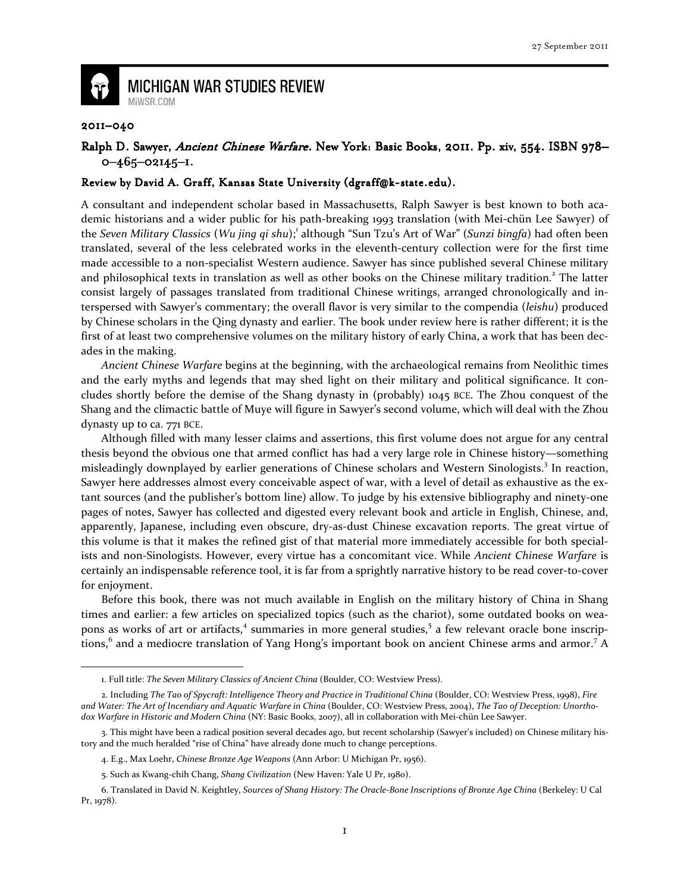

## **MICHIGAN WAR STUDIES REVIEW** MiWSR.COM

## 2011–040

 $\overline{\phantom{0}}$ 

## Ralph D. Sawyer, Ancient Chinese Warfare. New York: Basic Books, 2011. Pp. xiv, 554. ISBN 978-0–465–02145–1.

## Review by David A. Graff, Kansas State University (dgraff@k-state.edu).

A consultant and independent scholar based in Massachusetts, Ralph Sawyer is best known to both academic historians and a wider public for his path-breaking 1993 translation (with Mei-chün Lee Sawyer) of the Seven Military Classics (Wu jing qi shu);<sup>1</sup> although "Sun Tzu's Art of War" (Sunzi bingfa) had often been translated, several of the less celebrated works in the eleventh-century collection were for the first time made accessible to a non-specialist Western audience. Sawyer has since published several Chinese military and philosophical texts in translation as well as other books on the Chinese military tradition.<sup>2</sup> The latter consist largely of passages translated from traditional Chinese writings, arranged chronologically and interspersed with Sawyer's commentary; the overall flavor is very similar to the compendia (leishu) produced by Chinese scholars in the Qing dynasty and earlier. The book under review here is rather different; it is the first of at least two comprehensive volumes on the military history of early China, a work that has been decades in the making.

Ancient Chinese Warfare begins at the beginning, with the archaeological remains from Neolithic times and the early myths and legends that may shed light on their military and political significance. It concludes shortly before the demise of the Shang dynasty in (probably) 1045 BCE. The Zhou conquest of the Shang and the climactic battle of Muye will figure in Sawyer's second volume, which will deal with the Zhou dynasty up to ca. 771 BCE.

Although filled with many lesser claims and assertions, this first volume does not argue for any central thesis beyond the obvious one that armed conflict has had a very large role in Chinese history—something misleadingly downplayed by earlier generations of Chinese scholars and Western Sinologists.<sup>3</sup> In reaction, Sawyer here addresses almost every conceivable aspect of war, with a level of detail as exhaustive as the extant sources (and the publisher's bottom line) allow. To judge by his extensive bibliography and ninety-one pages of notes, Sawyer has collected and digested every relevant book and article in English, Chinese, and, apparently, Japanese, including even obscure, dry-as-dust Chinese excavation reports. The great virtue of this volume is that it makes the refined gist of that material more immediately accessible for both specialists and non-Sinologists. However, every virtue has a concomitant vice. While Ancient Chinese Warfare is certainly an indispensable reference tool, it is far from a sprightly narrative history to be read cover-to-cover for enjoyment.

Before this book, there was not much available in English on the military history of China in Shang times and earlier: a few articles on specialized topics (such as the chariot), some outdated books on weapons as works of art or artifacts,<sup>4</sup> summaries in more general studies,<sup>5</sup> a few relevant oracle bone inscriptions, $^6$  and a mediocre translation of Yang Hong's important book on ancient Chinese arms and armor.<sup>7</sup> A

<sup>1.</sup> Full title: The Seven Military Classics of Ancient China (Boulder, CO: Westview Press).

<sup>2.</sup> Including The Tao of Spycraft: Intelligence Theory and Practice in Traditional China (Boulder, CO: Westview Press, 1998), Fire and Water: The Art of Incendiary and Aquatic Warfare in China (Boulder, CO: Westview Press, 2004), The Tao of Deception: Unorthodox Warfare in Historic and Modern China (NY: Basic Books, 2007), all in collaboration with Mei-chün Lee Sawyer.

<sup>3.</sup> This might have been a radical position several decades ago, but recent scholarship (Sawyer's included) on Chinese military history and the much heralded "rise of China" have already done much to change perceptions.

<sup>4.</sup> E.g., Max Loehr, Chinese Bronze Age Weapons (Ann Arbor: U Michigan Pr, 1956).

<sup>5.</sup> Such as Kwang-chih Chang, Shang Civilization (New Haven: Yale U Pr, 1980).

<sup>6.</sup> Translated in David N. Keightley, Sources of Shang History: The Oracle-Bone Inscriptions of Bronze Age China (Berkeley: U Cal Pr, 1978).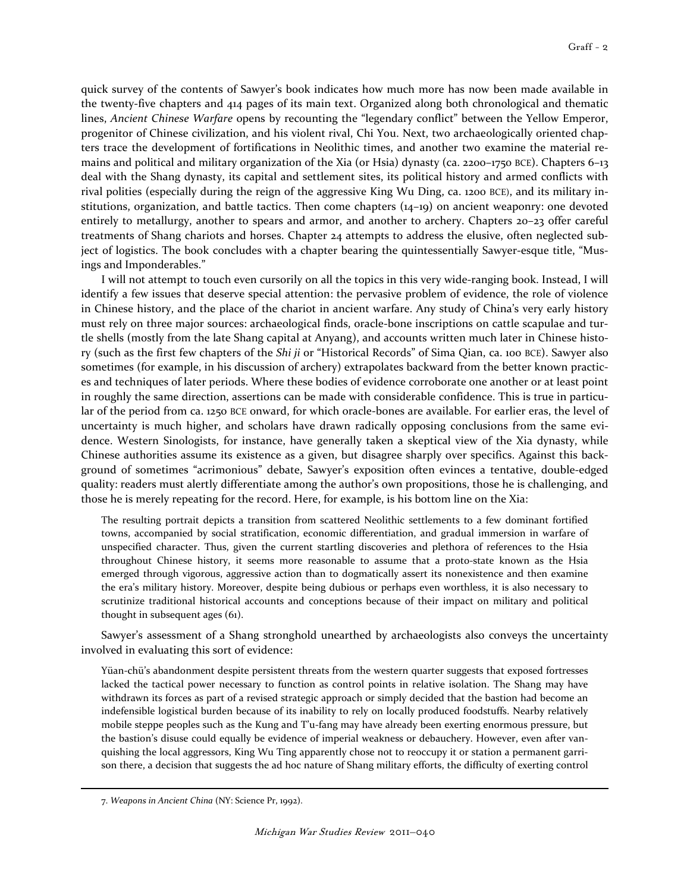quick survey of the contents of Sawyer's book indicates how much more has now been made available in the twenty-five chapters and 414 pages of its main text. Organized along both chronological and thematic lines, Ancient Chinese Warfare opens by recounting the "legendary conflict" between the Yellow Emperor, progenitor of Chinese civilization, and his violent rival, Chi You. Next, two archaeologically oriented chapters trace the development of fortifications in Neolithic times, and another two examine the material remains and political and military organization of the Xia (or Hsia) dynasty (ca. 2200–1750 BCE). Chapters 6–13 deal with the Shang dynasty, its capital and settlement sites, its political history and armed conflicts with rival polities (especially during the reign of the aggressive King Wu Ding, ca. 1200 BCE), and its military institutions, organization, and battle tactics. Then come chapters (14–19) on ancient weaponry: one devoted entirely to metallurgy, another to spears and armor, and another to archery. Chapters 20–23 offer careful treatments of Shang chariots and horses. Chapter 24 attempts to address the elusive, often neglected subject of logistics. The book concludes with a chapter bearing the quintessentially Sawyer-esque title, "Musings and Imponderables."

I will not attempt to touch even cursorily on all the topics in this very wide-ranging book. Instead, I will identify a few issues that deserve special attention: the pervasive problem of evidence, the role of violence in Chinese history, and the place of the chariot in ancient warfare. Any study of China's very early history must rely on three major sources: archaeological finds, oracle-bone inscriptions on cattle scapulae and turtle shells (mostly from the late Shang capital at Anyang), and accounts written much later in Chinese history (such as the first few chapters of the Shi ji or "Historical Records" of Sima Qian, ca. 100 BCE). Sawyer also sometimes (for example, in his discussion of archery) extrapolates backward from the better known practices and techniques of later periods. Where these bodies of evidence corroborate one another or at least point in roughly the same direction, assertions can be made with considerable confidence. This is true in particular of the period from ca. 1250 BCE onward, for which oracle-bones are available. For earlier eras, the level of uncertainty is much higher, and scholars have drawn radically opposing conclusions from the same evidence. Western Sinologists, for instance, have generally taken a skeptical view of the Xia dynasty, while Chinese authorities assume its existence as a given, but disagree sharply over specifics. Against this background of sometimes "acrimonious" debate, Sawyer's exposition often evinces a tentative, double-edged quality: readers must alertly differentiate among the author's own propositions, those he is challenging, and those he is merely repeating for the record. Here, for example, is his bottom line on the Xia:

The resulting portrait depicts a transition from scattered Neolithic settlements to a few dominant fortified towns, accompanied by social stratification, economic differentiation, and gradual immersion in warfare of unspecified character. Thus, given the current startling discoveries and plethora of references to the Hsia throughout Chinese history, it seems more reasonable to assume that a proto-state known as the Hsia emerged through vigorous, aggressive action than to dogmatically assert its nonexistence and then examine the era's military history. Moreover, despite being dubious or perhaps even worthless, it is also necessary to scrutinize traditional historical accounts and conceptions because of their impact on military and political thought in subsequent ages (61).

Sawyer's assessment of a Shang stronghold unearthed by archaeologists also conveys the uncertainty involved in evaluating this sort of evidence:

Yüan-chü's abandonment despite persistent threats from the western quarter suggests that exposed fortresses lacked the tactical power necessary to function as control points in relative isolation. The Shang may have withdrawn its forces as part of a revised strategic approach or simply decided that the bastion had become an indefensible logistical burden because of its inability to rely on locally produced foodstuffs. Nearby relatively mobile steppe peoples such as the Kung and T'u-fang may have already been exerting enormous pressure, but the bastion's disuse could equally be evidence of imperial weakness or debauchery. However, even after vanquishing the local aggressors, King Wu Ting apparently chose not to reoccupy it or station a permanent garrison there, a decision that suggests the ad hoc nature of Shang military efforts, the difficulty of exerting control

 $\overline{\phantom{0}}$ 

<sup>7.</sup> Weapons in Ancient China (NY: Science Pr, 1992).